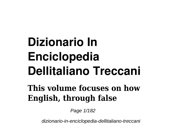## **Dizionario In Enciclopedia Dellitaliano Treccani**

## **This volume focuses on how English, through false**

Page 1/182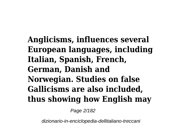**Anglicisms, influences several European languages, including Italian, Spanish, French, German, Danish and Norwegian. Studies on false Gallicisms are also included, thus showing how English may**

Page 2/182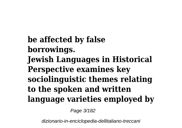**be affected by false borrowings. Jewish Languages in Historical Perspective examines key sociolinguistic themes relating to the spoken and written language varieties employed by**

Page 3/182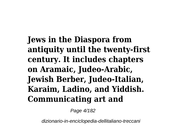**Jews in the Diaspora from antiquity until the twenty-first century. It includes chapters on Aramaic, Judeo-Arabic, Jewish Berber, Judeo-Italian, Karaim, Ladino, and Yiddish. Communicating art and**

Page 4/182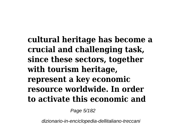**cultural heritage has become a crucial and challenging task, since these sectors, together with tourism heritage, represent a key economic resource worldwide. In order to activate this economic and**

Page 5/182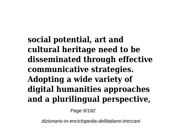**social potential, art and cultural heritage need to be disseminated through effective communicative strategies. Adopting a wide variety of digital humanities approaches and a plurilingual perspective,**

Page 6/182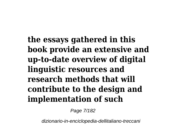**the essays gathered in this book provide an extensive and up-to-date overview of digital linguistic resources and research methods that will contribute to the design and implementation of such**

Page 7/182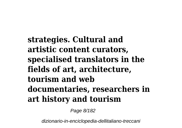**strategies. Cultural and artistic content curators, specialised translators in the fields of art, architecture, tourism and web documentaries, researchers in art history and tourism**

Page 8/182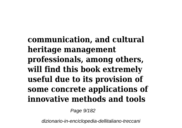**communication, and cultural heritage management professionals, among others, will find this book extremely useful due to its provision of some concrete applications of innovative methods and tools**

Page 9/182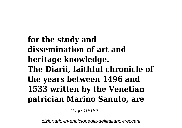**for the study and dissemination of art and heritage knowledge. The Diarii, faithful chronicle of the years between 1496 and 1533 written by the Venetian patrician Marino Sanuto, are**

Page 10/182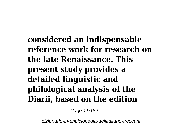**considered an indispensable reference work for research on the late Renaissance. This present study provides a detailed linguistic and philological analysis of the Diarii, based on the edition**

Page 11/182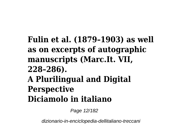## **Fulin et al. (1879–1903) as well as on excerpts of autographic manuscripts (Marc.It. VII, 228–286). A Plurilingual and Digital Perspective Diciamolo in italiano**

Page 12/182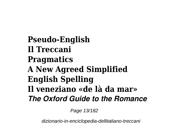**Pseudo-English Il Treccani Pragmatics A New Agreed Simplified English Spelling Il veneziano «de là da mar»** *The Oxford Guide to the Romance*

Page 13/182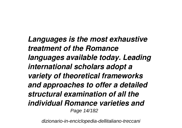*Languages is the most exhaustive treatment of the Romance languages available today. Leading international scholars adopt a variety of theoretical frameworks and approaches to offer a detailed structural examination of all the individual Romance varieties and* Page 14/182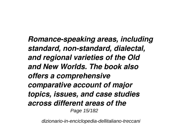*Romance-speaking areas, including standard, non-standard, dialectal, and regional varieties of the Old and New Worlds. The book also offers a comprehensive comparative account of major topics, issues, and case studies across different areas of the* Page 15/182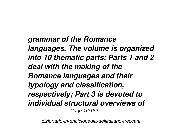*grammar of the Romance languages. The volume is organized into 10 thematic parts: Parts 1 and 2 deal with the making of the Romance languages and their typology and classification, respectively; Part 3 is devoted to individual structural overviews of* Page 16/182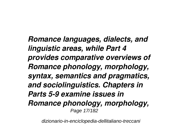*Romance languages, dialects, and linguistic areas, while Part 4 provides comparative overviews of Romance phonology, morphology, syntax, semantics and pragmatics, and sociolinguistics. Chapters in Parts 5-9 examine issues in Romance phonology, morphology,* Page 17/182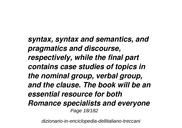*syntax, syntax and semantics, and pragmatics and discourse, respectively, while the final part contains case studies of topics in the nominal group, verbal group, and the clause. The book will be an essential resource for both Romance specialists and everyone* Page 18/182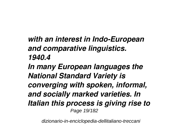## *with an interest in Indo-European and comparative linguistics. 1940.4*

*In many European languages the National Standard Variety is converging with spoken, informal, and socially marked varieties. In Italian this process is giving rise to* Page 19/182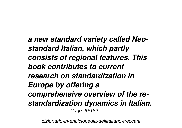*a new standard variety called Neostandard Italian, which partly consists of regional features. This book contributes to current research on standardization in Europe by offering a comprehensive overview of the restandardization dynamics in Italian.* Page 20/182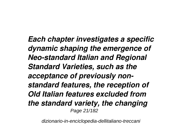*Each chapter investigates a specific dynamic shaping the emergence of Neo-standard Italian and Regional Standard Varieties, such as the acceptance of previously nonstandard features, the reception of Old Italian features excluded from the standard variety, the changing* Page 21/182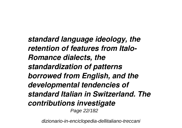*standard language ideology, the retention of features from Italo-Romance dialects, the standardization of patterns borrowed from English, and the developmental tendencies of standard Italian in Switzerland. The contributions investigate* Page 22/182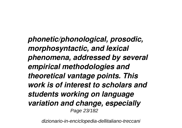*phonetic/phonological, prosodic, morphosyntactic, and lexical phenomena, addressed by several empirical methodologies and theoretical vantage points. This work is of interest to scholars and students working on language variation and change, especially* Page 23/182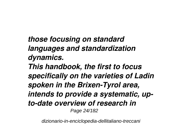*those focusing on standard languages and standardization dynamics. This handbook, the first to focus specifically on the varieties of Ladin spoken in the Brixen-Tyrol area, intends to provide a systematic, upto-date overview of research in* Page 24/182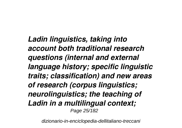*Ladin linguistics, taking into account both traditional research questions (internal and external language history; specific linguistic traits; classification) and new areas of research (corpus linguistics; neurolinguistics; the teaching of Ladin in a multilingual context;* Page 25/182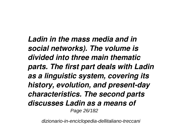*Ladin in the mass media and in social networks). The volume is divided into three main thematic parts. The first part deals with Ladin as a linguistic system, covering its history, evolution, and present-day characteristics. The second parts discusses Ladin as a means of* Page 26/182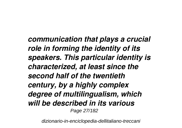*communication that plays a crucial role in forming the identity of its speakers. This particular identity is characterized, at least since the second half of the twentieth century, by a highly complex degree of multilingualism, which will be described in its various* Page 27/182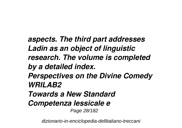*aspects. The third part addresses Ladin as an object of linguistic research. The volume is completed by a detailed index. Perspectives on the Divine Comedy WRILAB2 Towards a New Standard Competenza lessicale e* Page 28/182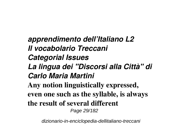*apprendimento dell'Italiano L2 Il vocabolario Treccani Categorial Issues La lingua dei "Discorsi alla Città" di Carlo Maria Martini* **Any notion linguistically expressed, even one such as the syllable, is always the result of several different** Page 29/182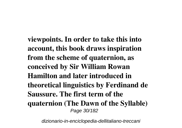**viewpoints. In order to take this into account, this book draws inspiration from the scheme of quaternion, as conceived by Sir William Rowan Hamilton and later introduced in theoretical linguistics by Ferdinand de Saussure. The first term of the quaternion (The Dawn of the Syllable)** Page 30/182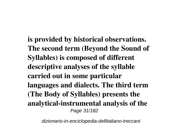**is provided by historical observations. The second term (Beyond the Sound of Syllables) is composed of different descriptive analyses of the syllable carried out in some particular languages and dialects. The third term (The Body of Syllables) presents the analytical-instrumental analysis of the** Page 31/182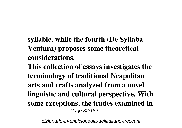**syllable, while the fourth (De Syllaba Ventura) proposes some theoretical considerations.**

**This collection of essays investigates the terminology of traditional Neapolitan arts and crafts analyzed from a novel linguistic and cultural perspective. With some exceptions, the trades examined in** Page 32/182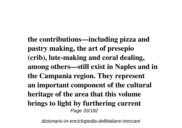**the contributions—including pizza and pastry making, the art of presepio (crib), lute-making and coral dealing, among others—still exist in Naples and in the Campania region. They represent an important component of the cultural heritage of the area that this volume brings to light by furthering current** Page 33/182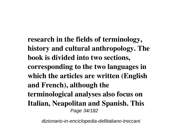**research in the fields of terminology, history and cultural anthropology. The book is divided into two sections, corresponding to the two languages in which the articles are written (English and French), although the terminological analyses also focus on Italian, Neapolitan and Spanish. This** Page 34/182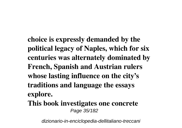**choice is expressly demanded by the political legacy of Naples, which for six centuries was alternately dominated by French, Spanish and Austrian rulers whose lasting influence on the city's traditions and language the essays explore.**

**This book investigates one concrete** Page 35/182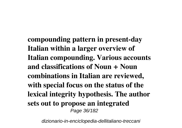**compounding pattern in present-day Italian within a larger overview of Italian compounding. Various accounts and classifications of Noun + Noun combinations in Italian are reviewed, with special focus on the status of the lexical integrity hypothesis. The author sets out to propose an integrated** Page 36/182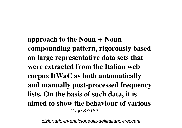**approach to the Noun + Noun compounding pattern, rigorously based on large representative data sets that were extracted from the Italian web corpus ItWaC as both automatically and manually post-processed frequency lists. On the basis of such data, it is aimed to show the behaviour of various** Page 37/182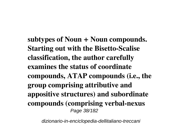**subtypes of Noun + Noun compounds. Starting out with the Bisetto-Scalise classification, the author carefully examines the status of coordinate compounds, ATAP compounds (i.e., the group comprising attributive and appositive structures) and subordinate compounds (comprising verbal-nexus** Page 38/182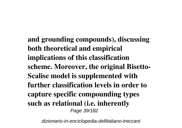**and grounding compounds), discussing both theoretical and empirical implications of this classification scheme. Moreover, the original Bisetto-Scalise model is supplemented with further classification levels in order to capture specific compounding types such as relational (i.e. inherently** Page 39/182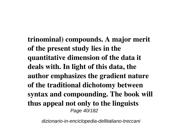**trinominal) compounds. A major merit of the present study lies in the quantitative dimension of the data it deals with. In light of this data, the author emphasizes the gradient nature of the traditional dichotomy between syntax and compounding. The book will thus appeal not only to the linguists** Page 40/182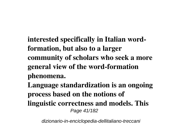**interested specifically in Italian wordformation, but also to a larger community of scholars who seek a more general view of the word-formation phenomena.**

**Language standardization is an ongoing process based on the notions of linguistic correctness and models. This** Page 41/182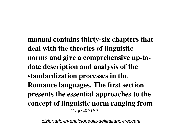**manual contains thirty-six chapters that deal with the theories of linguistic norms and give a comprehensive up-todate description and analysis of the standardization processes in the Romance languages. The first section presents the essential approaches to the concept of linguistic norm ranging from** Page 42/182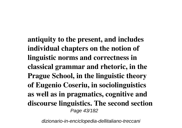**antiquity to the present, and includes individual chapters on the notion of linguistic norms and correctness in classical grammar and rhetoric, in the Prague School, in the linguistic theory of Eugenio Coseriu, in sociolinguistics as well as in pragmatics, cognitive and discourse linguistics. The second section** Page 43/182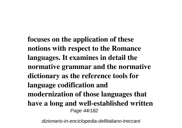**focuses on the application of these notions with respect to the Romance languages. It examines in detail the normative grammar and the normative dictionary as the reference tools for language codification and modernization of those languages that have a long and well-established written** Page 44/182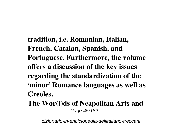**tradition, i.e. Romanian, Italian, French, Catalan, Spanish, and Portuguese. Furthermore, the volume offers a discussion of the key issues regarding the standardization of the 'minor' Romance languages as well as Creoles.**

**The Wor(l)ds of Neapolitan Arts and** Page 45/182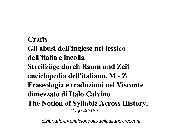**Crafts Gli abusi dell'inglese nel lessico dell'italia e incolla Streifzüge durch Raum und Zeit enciclopedia dell'italiano. M - Z Fraseologia e traduzioni nel Visconte dimezzato di Italo Calvino The Notion of Syllable Across History,** Page 46/182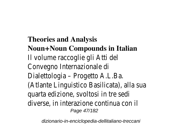**Theories and Analysis Noun+Noun Compounds in Italian** Il volume raccoglie gli Atti del Convegno Internazionale di Dialettologia – Progetto A.L.Ba. (Atlante Linguistico Basilicata), alla quarta edizione, svoltosi in tre sedi diverse, in interazione continua con Page 47/182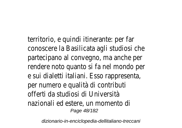territorio, e quindi itinerante: per fa conoscere la Basilicata agli studiosi partecipano al convegno, ma anche rendere noto quanto si fa nel monde e sui dialetti italiani. Esso rappresen per numero e qualità di contributi offerti da studiosi di Università nazionali ed estere, un momento di Page 48/182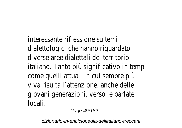interessante riflessione su temi dialettologici che hanno riguardato diverse aree dialettali del territorio italiano. Tanto più significativo in te come quelli attuali in cui sempre più viva risulta l'attenzione, anche delle giovani generazioni, verso le parlate locali.

Page 49/182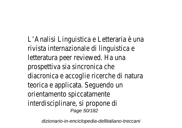L'Analisi Linguistica e Letteraria è una rivista internazionale di linguistica e letteratura peer reviewed. Ha una prospettiva sia sincronica che diacronica e accoglie ricerche di nat teorica e applicata. Seguendo un orientamento spiccatamente interdisciplinare, si propone di Page 50/182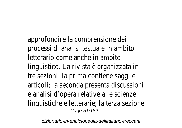approfondire la comprensione dei processi di analisi testuale in ambito letterario come anche in ambito linguistico. La rivista è organizzata i tre sezioni: la prima contiene saggi e articoli; la seconda presenta discuss e analisi d'opera relative alle scienze linguistiche e letterarie; la terza sez Page 51/182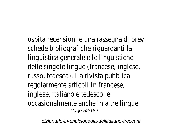ospita recensioni e una rassegna di brevi schede bibliografiche riguardanti la linguistica generale e le linguistiche delle singole lingue (francese, inglese russo, tedesco). La rivista pubblica regolarmente articoli in francese, inglese, italiano e tedesco, e occasionalmente anche in altre lingue Page 52/182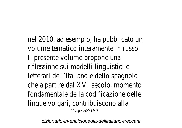nel 2010, ad esempio, ha pubblicato volume tematico interamente in rus Il presente volume propone una riflessione sui modelli linguistici e letterari dell'italiano e dello spagnolo che a partire dal XVI secolo, momen fondamentale della codificazione dell lingue volgari, contribuiscono alla Page 53/182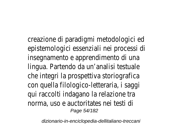creazione di paradigmi metodologici epistemologici essenziali nei process insegnamento e apprendimento di un lingua. Partendo da un'analisi testua che integri la prospettiva storiograf con quella filologico-letteraria, i saggi qui raccolti indagano la relazione tra norma, uso e auctoritates nei testi Page 54/182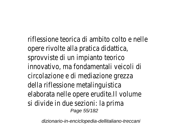riflessione teorica di ambito colto e opere rivolte alla pratica didattica, sprovviste di un impianto teorico innovativo, ma fondamentali veicoli circolazione e di mediazione grezza della riflessione metalinguistica elaborata nelle opere erudite.II volun si divide in due sezioni: la prima Page 55/182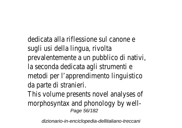dedicata alla riflessione sul canone e sugli usi della lingua, rivolta prevalentemente a un pubblico di na la seconda dedicata agli strumenti e metodi per l'apprendimento linguistie da parte di stranieri.

This volume presents novel analyses morphosyntax and phonology by we Page 56/182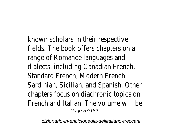known scholars in their respective fields. The book offers chapters on range of Romance languages and dialects, including Canadian French, Standard French, Modern French, Sardinian, Sicilian, and Spanish. Other chapters focus on diachronic topics French and Italian. The volume will be Page 57/182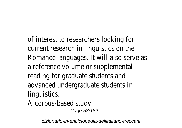of interest to researchers looking for current research in linguistics on the Romance languages. It will also serve a reference volume or supplemental reading for graduate students and advanced undergraduate students in linguistics.

A corpus-based study Page 58/182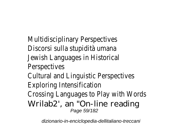Multidisciplinary Perspectives Discorsi sulla stupidità umana Jewish Languages in Historical Perspectives Cultural and Linguistic Perspectives Exploring Intensification Crossing Languages to Play with W Wrilab2', an "On-line reading Page 59/182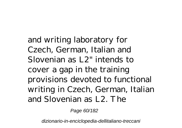and writing laboratory for Czech, German, Italian and Slovenian as L2" intends to cover a gap in the training provisions devoted to functional writing in Czech, German, Italian and Slovenian as L2. The

Page 60/182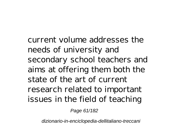current volume addresses the needs of university and secondary school teachers and aims at offering them both the state of the art of current research related to important issues in the field of teaching

Page 61/182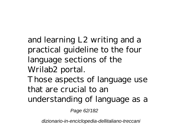and learning L2 writing and a practical guideline to the four language sections of the Wrilab2 portal. Those aspects of language use that are crucial to an understanding of language as a

Page 62/182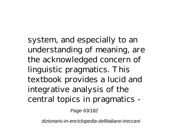system, and especially to an understanding of meaning, are the acknowledged concern of linguistic pragmatics. This textbook provides a lucid and integrative analysis of the central topics in pragmatics -

Page 63/182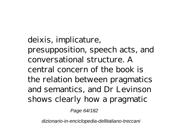deixis, implicature, presupposition, speech acts, and conversational structure. A central concern of the book is the relation between pragmatics and semantics, and Dr Levinson shows clearly how a pragmatic

Page 64/182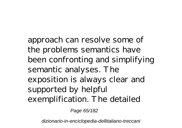approach can resolve some of the problems semantics have been confronting and simplifying semantic analyses. The exposition is always clear and supported by helpful exemplification. The detailed

Page 65/182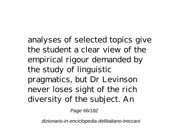analyses of selected topics give the student a clear view of the empirical rigour demanded by the study of linguistic pragmatics, but Dr Levinson never loses sight of the rich diversity of the subject. An

Page 66/182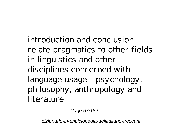introduction and conclusion relate pragmatics to other fields in linguistics and other disciplines concerned with language usage - psychology, philosophy, anthropology and literature.

Page 67/182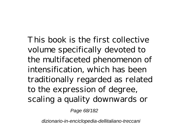This book is the first collective volume specifically devoted to the multifaceted phenomenon of intensification, which has been traditionally regarded as related to the expression of degree, scaling a quality downwards or

Page 68/182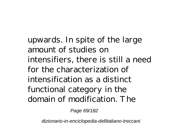upwards. In spite of the large amount of studies on intensifiers, there is still a need for the characterization of intensification as a distinct functional category in the domain of modification. The

Page 69/182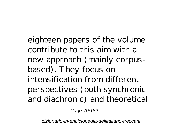eighteen papers of the volume contribute to this aim with a new approach (mainly corpusbased). They focus on intensification from different perspectives (both synchronic and diachronic) and theoretical

Page 70/182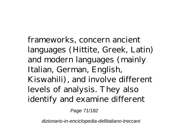frameworks, concern ancient languages (Hittite, Greek, Latin) and modern languages (mainly Italian, German, English, Kiswahili), and involve different levels of analysis. They also identify and examine different

Page 71/182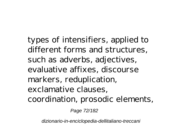types of intensifiers, applied to different forms and structures, such as adverbs, adjectives, evaluative affixes, discourse markers, reduplication, exclamative clauses, coordination, prosodic elements,

Page 72/182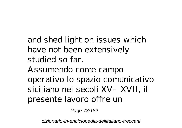and shed light on issues which have not been extensively studied so far. Assumendo come campo operativo lo spazio comunicativo siciliano nei secoli XV–XVII, il

presente lavoro offre un

Page 73/182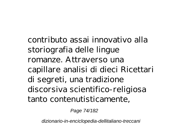contributo assai innovativo alla storiografia delle lingue romanze. Attraverso una capillare analisi di dieci Ricettari di segreti, una tradizione discorsiva scientifico-religiosa tanto contenutisticamente,

Page 74/182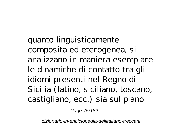quanto linguisticamente composita ed eterogenea, si analizzano in maniera esemplare le dinamiche di contatto tra gli idiomi presenti nel Regno di Sicilia (latino, siciliano, toscano, castigliano, ecc.) sia sul piano

Page 75/182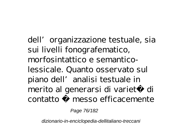dell' organizzazione testuale, sia sui livelli fonografematico, morfosintattico e semanticolessicale. Quanto osservato sul piano dell'analisi testuale in merito al generarsi di varietà di contatto è messo efficacemente

Page 76/182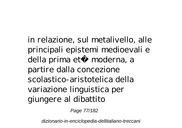in relazione, sul metalivello, alle principali epistemi medioevali e della prima età moderna, a partire dalla concezione scolastico-aristotelica della variazione linguistica per giungere al dibattito

Page 77/182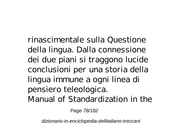rinascimentale sulla Questione della lingua. Dalla connessione dei due piani si traggono lucide conclusioni per una storia della lingua immune a ogni linea di pensiero teleologica. Manual of Standardization in the

Page 78/182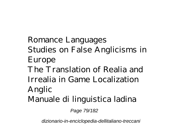Romance Languages Studies on False Anglicisms in Europe The Translation of Realia and Irrealia in Game Localization Anglic Manuale di linguistica ladina

Page 79/182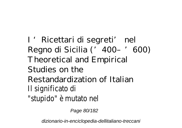I 'Ricettari di segreti' nel Regno di Sicilia ('400–'600) Theoretical and Empirical Studies on the Restandardization of Italian Il significato di "stupido" è mutato nel

Page 80/182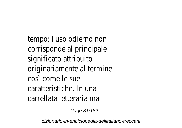tempo: l'uso odierno non corrisponde al principale significato attribuito originariamente al termine così come le sue caratteristiche. In una carrellata letteraria ma

Page 81/182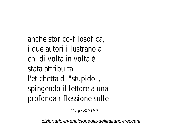anche storico-filosofica, i due autori illustrano a chi di volta in volta è stata attribuita l'etichetta di "stupido", spingendo il lettore a una profonda riflessione sulle

Page 82/182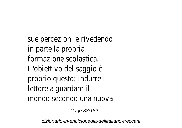sue percezioni e rivedendo in parte la propria formazione scolastica. L'obiettivo del saggio è proprio questo: indurre il lettore a guardare il mondo secondo una nuova

Page 83/182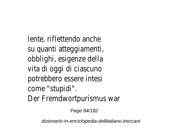lente, riflettendo anche su quanti atteggiamenti, obblighi, esigenze della vita di oggi di ciascuno potrebbero essere intesi come "stupidi". Der Fremdwortpurismus war

Page 84/182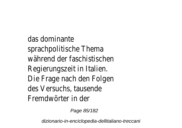das dominante sprachpolitische Thema während der faschistischen Regierungszeit in Italien. Die Frage nach den Folgen des Versuchs, tausende Fremdwörter in der

Page 85/182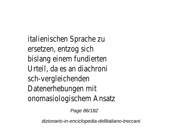italienischen Sprache zu ersetzen, entzog sich bislang einem fundierten Urteil, da es an diachroni sch-vergleichenden Datenerhebungen mit onomasiologischem Ansatz

Page 86/182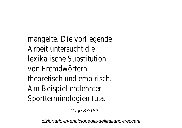mangelte. Die vorliegende Arbeit untersucht die lexikalische Substitution von Fremdwörtern theoretisch und empirisch. Am Beispiel entlehnter Sportterminologien (u.a.

Page 87/182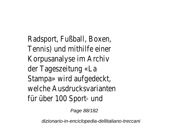Radsport, Fußball, Boxen, Tennis) und mithilfe einer Korpusanalyse im Archiv der Tageszeitung «La Stampa» wird aufgedeckt, welche Ausdrucksvarianten für über 100 Sport- und

Page 88/182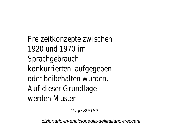Freizeitkonzepte zwischen 1920 und 1970 im **Sprachgebrauch** konkurrierten, aufgegeben oder beibehalten wurden. Auf dieser Grundlage werden Muster

Page 89/182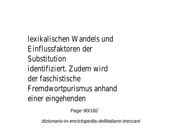lexikalischen Wandels und Einflussfaktoren der Substitution identifiziert. Zudem wird der faschistische Fremdwortpurismus anhand einer eingehenden

Page 90/182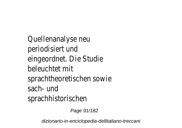Quellenanalyse neu periodisiert und eingeordnet. Die Studie beleuchtet mit sprachtheoretischen sowie sach- und sprachhistorischen

Page 91/182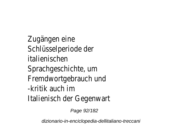Zugängen eine Schlüsselperiode der italienischen Sprachgeschichte, um Fremdwortgebrauch und -kritik auch im Italienisch der Gegenwart

Page 92/182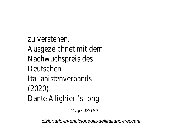zu verstehen. Ausgezeichnet mit dem Nachwuchspreis des Deutschen Italianistenverbands (2020). Dante Alighieri's long

Page 93/182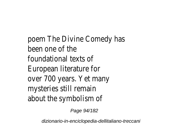poem The Divine Comedy has been one of the foundational texts of European literature for over 700 years. Yet many mysteries still remain about the symbolism of

Page 94/182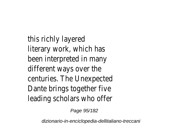this richly layered literary work, which has been interpreted in many different ways over the centuries. The Unexpected Dante brings together five leading scholars who offer

Page 95/182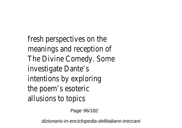fresh perspectives on the meanings and reception of The Divine Comedy. Some investigate Dante's intentions by exploring the poem's esoteric allusions to topics

Page 96/182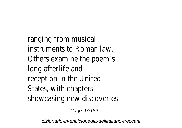ranging from musical instruments to Roman law. Others examine the poem's long afterlife and reception in the United States, with chapters showcasing new discoveries

Page 97/182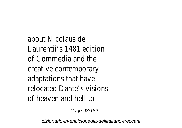about Nicolaus de Laurentii's 1481 edition of Commedia and the creative contemporary adaptations that have relocated Dante's visions of heaven and hell to

Page 98/182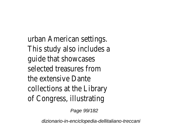urban American settings. This study also includes a guide that showcases selected treasures from the extensive Dante collections at the Library of Congress, illustrating

Page 99/182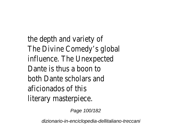the depth and variety of The Divine Comedy's global influence. The Unexpected Dante is thus a boon to both Dante scholars and aficionados of this literary masterpiece.

Page 100/182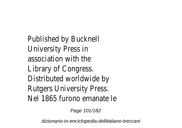Published by Bucknell University Press in association with the Library of Congress. Distributed worldwide by Rutgers University Press. Nel 1865 furono emanate le

Page 101/182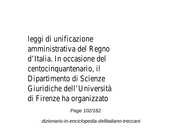leggi di unificazione amministrativa del Regno d'Italia. In occasione del centocinquantenario, il Dipartimento di Scienze Giuridiche dell'Università di Firenze ha organizzato

Page 102/182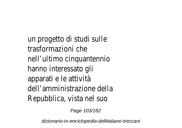un progetto di studi sulle trasformazioni che nell'ultimo cinquantennio hanno interessato gli apparati e le attività dell'amministrazione della Repubblica, vista nel suo

Page 103/182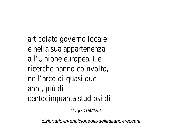articolato governo locale e nella sua appartenenza all'Unione europea. Le ricerche hanno coinvolto, nell'arco di quasi due anni, più di centocinquanta studiosi di

Page 104/182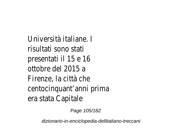Università italiane. I risultati sono stati presentati il 15 e 16 ottobre del 2015 a Firenze, la città che centocinquant'anni prima era stata Capitale

Page 105/182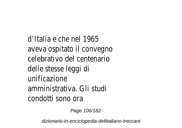d'Italia e che nel 1965 aveva ospitato il convegno celebrativo del centenario delle stesse leggi di unificazione amministrativa. Gli studi condotti sono ora

Page 106/182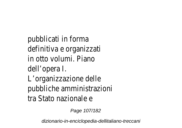pubblicati in forma definitiva e organizzati in otto volumi. Piano dell'opera I. L'organizzazione delle pubbliche amministrazioni tra Stato nazionale e

Page 107/182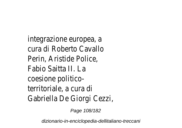integrazione europea, a cura di Roberto Cavallo Perin, Aristide Police, Fabio Saitta II. La coesione politicoterritoriale, a cura di Gabriella De Giorgi Cezzi,

Page 108/182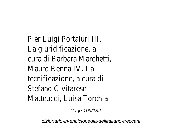Pier Luigi Portal La giuridificazio cura di Barbara Ma Mauro Renna tecnificazione, a c Stefano Civita Matteucci, Luisa 1

Page 109/182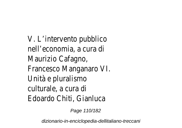V. L'intervento pu nell'economia, a c Maurizio Cafa Francesco Mangan Unità e plural culturale, a cu Edoardo Chiti, Gia

Page 110/182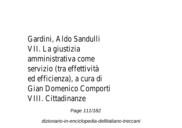Gardini, Aldo Sa VII. La gius amministrativa servizio (tra effettività) ed efficienza), a c Gian Domenico Co VIII. Cittadin

Page 111/182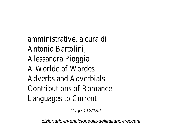amministrative, a Antonio Bart Alessandra Pio A Worlde of W Adverbs and Adve Contributions of Roman Languages to C

Page 112/182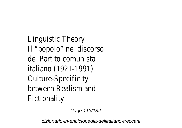Linguistic Th Il "popolo" nel dis del Partito com italiano (1921-Culture-Speci between Realism Fictional

Page 113/182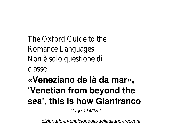The Oxford Guide Romance Langu Non è solo quest classe

# **«Veneziano de là da mar», 'Venetian from beyond the sea', this is how Gianfranco**

Page 114/182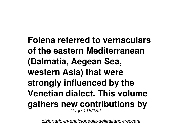**Folena referred to vernaculars of the eastern Mediterranean (Dalmatia, Aegean Sea, western Asia) that were strongly influenced by the Venetian dialect. This volume gathers new contributions by** Page 115/182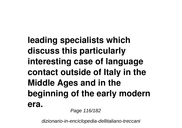**leading specialists which discuss this particularly interesting case of language contact outside of Italy in the Middle Ages and in the beginning of the early modern era.**

Page 116/182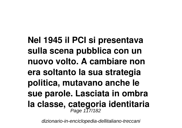**Nel 1945 il PCI si presentava sulla scena pubblica con un nuovo volto. A cambiare non era soltanto la sua strategia politica, mutavano anche le sue parole. Lasciata in ombra la classe, categoria identitaria** Page 117/182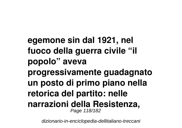**egemone sin dal 1921, nel fuoco della guerra civile "il popolo" aveva progressivamente guadagnato un posto di primo piano nella retorica del partito: nelle narrazioni della Resistenza,** Page 118/182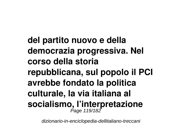**del partito nuovo e della democrazia progressiva. Nel corso della storia repubblicana, sul popolo il PCI avrebbe fondato la politica culturale, la via italiana al socialismo, l'interpretazione** Page 119/182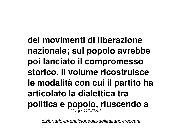**dei movimenti di liberazione nazionale; sul popolo avrebbe poi lanciato il compromesso storico. Il volume ricostruisce le modalità con cui il partito ha articolato la dialettica tra politica e popolo, riuscendo a** Page 120/182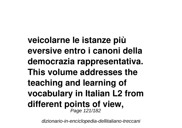**veicolarne le istanze più eversive entro i canoni della democrazia rappresentativa. This volume addresses the teaching and learning of vocabulary in Italian L2 from different points of view,** Page 121/182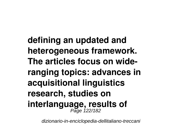**defining an updated and heterogeneous framework. The articles focus on wideranging topics: advances in acquisitional linguistics research, studies on interlanguage, results of** Page 122/182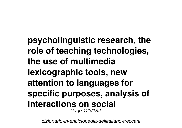**psycholinguistic research, the role of teaching technologies, the use of multimedia lexicographic tools, new attention to languages for specific purposes, analysis of interactions on social** Page 123/182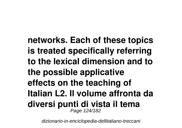**networks. Each of these topics is treated specifically referring to the lexical dimension and to the possible applicative effects on the teaching of Italian L2. Il volume affronta da diversi punti di vista il tema** Page 124/182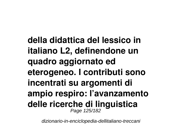**della didattica del lessico in italiano L2, definendone un quadro aggiornato ed eterogeneo. I contributi sono incentrati su argomenti di ampio respiro: l'avanzamento delle ricerche di linguistica** Page 125/182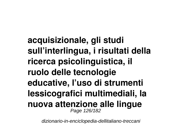**acquisizionale, gli studi sull'interlingua, i risultati della ricerca psicolinguistica, il ruolo delle tecnologie educative, l'uso di strumenti lessicografici multimediali, la nuova attenzione alle lingue** Page 126/182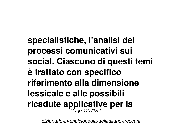**specialistiche, l'analisi dei processi comunicativi sui social. Ciascuno di questi temi è trattato con specifico riferimento alla dimensione lessicale e alle possibili ricadute applicative per la** Page 127/182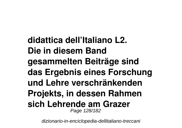**didattica dell'Italiano L2. Die in diesem Band gesammelten Beiträge sind das Ergebnis eines Forschung und Lehre verschränkenden Projekts, in dessen Rahmen sich Lehrende am Grazer** Page 128/182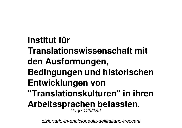## **Institut für**

**Translationswissenschaft mit**

# **den Ausformungen,**

**Bedingungen und historischen**

### **Entwicklungen von**

**"Translationskulturen" in ihren**

#### **Arbeitssprachen befassten.** Page 129/182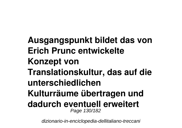**Ausgangspunkt bildet das von Erich Prunc entwickelte Konzept von Translationskultur, das auf die unterschiedlichen Kulturräume übertragen und dadurch eventuell erweitert** Page 130/182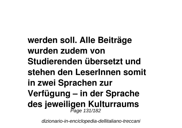**werden soll. Alle Beiträge wurden zudem von Studierenden übersetzt und stehen den LeserInnen somit in zwei Sprachen zur Verfügung – in der Sprache des jeweiligen Kulturraums** Page 131/182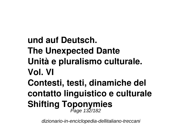**und auf Deutsch. The Unexpected Dante Unità e pluralismo culturale. Vol. VI Contesti, testi, dinamiche del contatto linguistico e culturale Shifting Toponymies** Page 132/182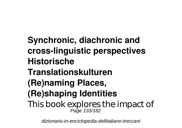**Synchronic, diachronic and cross-linguistic perspectives Historische Translationskulturen (Re)naming Places, (Re)shaping Identities** This book explores the impact of Page 133/182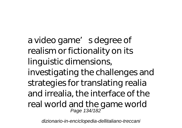a video game' sdegree of realism or fictionality on its linguistic dimensions, investigating the challenges and strategies for translating realia and irrealia, the interface of the real world and the game world Page 134/182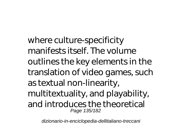where culture-specificity manifests itself. The volume outlines the key elements in the translation of video games, such as textual non-linearity, multitextuality, and playability, and introduces the theoretical Page 135/182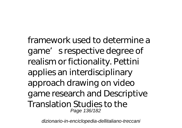framework used to determine a game's respective degree of realism or fictionality. Pettini applies an interdisciplinary approach drawing on video game research and Descriptive Translation Studies to the Page 136/182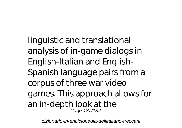linguistic and translational analysis of in-game dialogs in English-Italian and English-Spanish language pairs from a corpus of three war video games. This approach allows for an in-depth look at the Page 137/182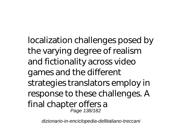localization challenges posed by the varying degree of realism and fictionality across video games and the different strategies translators employ in response to these challenges. A final chapter offers a Page 138/182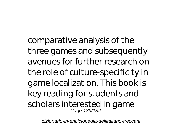comparative analysis of the three games and subsequently avenues for further research on the role of culture-specificity in game localization. This book is key reading for students and scholars interested in game Page 139/182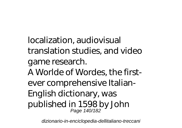localization, audiovisual translation studies, and video game research. A Worlde of Wordes, the firstever comprehensive Italian-English dictionary, was published in 1598 by John Page 140/182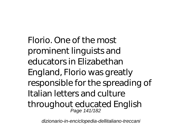Florio. One of the most prominent linguists and educators in Elizabethan England, Florio was greatly responsible for the spreading of Italian letters and culture throughout educated English Page 141/182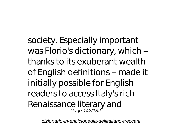society. Especially important was Florio's dictionary, which – thanks to its exuberant wealth of English definitions – made it initially possible for English readers to access Italy's rich Renaissance literary and Page 142/182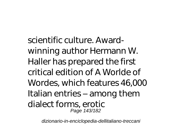scientific culture. Awardwinning author Hermann W. Haller has prepared the first critical edition of A Worlde of Wordes, which features 46,000 Italian entries – among them dialect forms, erotic Page 143/182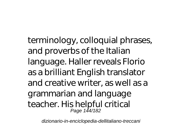terminology, colloquial phrases, and proverbs of the Italian language. Haller reveals Florio as a brilliant English translator and creative writer, as well as a grammarian and language teacher. His helpful critical Page 144/182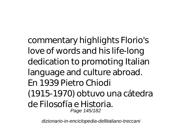commentary highlights Florio's love of words and his life-long dedication to promoting Italian language and culture abroad. En 1939 Pietro Chiodi (1915-1970) obtuvo una cátedra de Filosofía e Historia. Page 145/182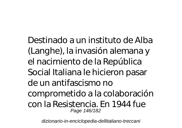Destinado a un instituto de Alba (Langhe), la invasión alemana y el nacimiento de la República Social Italiana le hicieron pasar de un antifascismo no comprometido a la colaboración con la Resistencia. En 1944 fue Page 146/182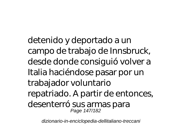detenido y deportado a un campo de trabajo de Innsbruck, desde donde consiguió volver a Italia haciéndose pasar por un trabajador voluntario repatriado. A partir de entonces, desenterró sus armas para Page 147/182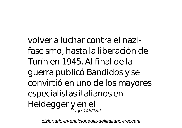volver a luchar contra el nazifascismo, hasta la liberación de Turín en 1945. Al final de la guerra publicó Bandidos y se convirtió en uno de los mayores especialistas italianos en Heidegger y en el Page 148/182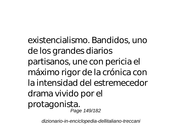existencialismo. Bandidos, uno de los grandes diarios partisanos, une con pericia el máximo rigor de la crónica con la intensidad del estremecedor drama vivido por el protagonista. Page 149/182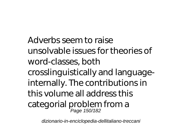Adverbs seem to raise unsolvable issues for theories of word-classes, both crosslinguistically and languageinternally. The contributions in this volume all address this categorial problem from a Page 150/182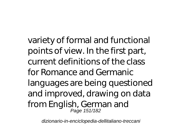variety of formal and functional points of view. In the first part, current definitions of the class for Romance and Germanic languages are being questioned and improved, drawing on data from English, German and Page 151/182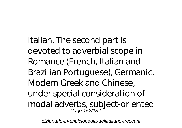Italian. The second part is devoted to adverbial scope in Romance (French, Italian and Brazilian Portuguese), Germanic, Modern Greek and Chinese, under special consideration of modal adverbs, subject-oriented Page 152/182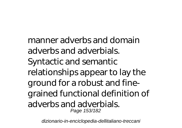manner adverbs and domain adverbs and adverbials. Syntactic and semantic relationships appear to lay the ground for a robust and finegrained functional definition of adverbs and adverbials. Page 153/182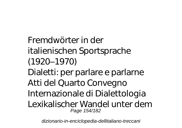Fremdwörter in der italienischen Sportsprache (1920–1970)

Dialetti: per parlare e parlarne Atti del Quarto Convegno Internazionale di Dialettologia Lexikalischer Wandel unter dem Page 154/182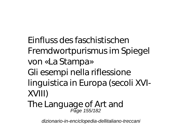Einfluss des faschistischen Fremdwortpurismus im Spiegel von «La Stampa» Gli esempi nella riflessione linguistica in Europa (secoli XVI-XVIII)

The Language of Art and Page 155/182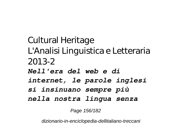Cultural Heritage L'Analisi Linguistica e Letteraria 2013-2 *Nell'era del web e di internet, le parole inglesi si insinuano sempre più nella nostra lingua senza*

Page 156/182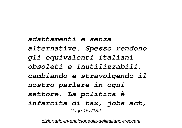*adattamenti e senza alternative. Spesso rendono gli equivalenti italiani obsoleti e inutilizzabili, cambiando e stravolgendo il nostro parlare in ogni settore. La politica è infarcita di tax, jobs act,* Page 157/182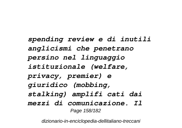*spending review e di inutili anglicismi che penetrano persino nel linguaggio istituzionale (welfare, privacy, premier) e giuridico (mobbing, stalking) amplifi cati dai mezzi di comunicazione. Il* Page 158/182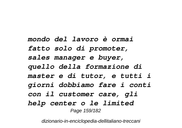*mondo del lavoro è ormai fatto solo di promoter, sales manager e buyer, quello della formazione di master e di tutor, e tutti i giorni dobbiamo fare i conti con il customer care, gli help center o le limited* Page 159/182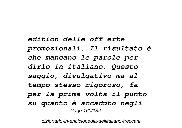*edition delle off erte promozionali. Il risultato è che mancano le parole per dirlo in italiano. Questo saggio, divulgativo ma al tempo stesso rigoroso, fa per la prima volta il punto su quanto è accaduto negli* Page 160/182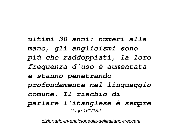*ultimi 30 anni: numeri alla mano, gli anglicismi sono più che raddoppiati, la loro frequenza d'uso è aumentata e stanno penetrando profondamente nel linguaggio comune. Il rischio di parlare l'itanglese è sempre* Page 161/182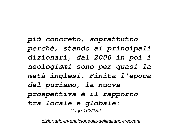*più concreto, soprattutto perché, stando ai principali dizionari, dal 2000 in poi i neologismi sono per quasi la metà inglesi. Finita l'epoca del purismo, la nuova prospettiva è il rapporto tra locale e globale:* Page 162/182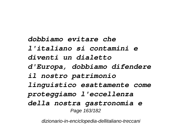*dobbiamo evitare che l'italiano si contamini e diventi un dialetto d'Europa, dobbiamo difendere il nostro patrimonio linguistico esattamente come proteggiamo l'eccellenza della nostra gastronomia e* Page 163/182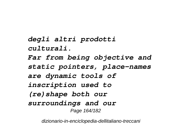*degli altri prodotti culturali. Far from being objective and static pointers, place-names are dynamic tools of inscription used to (re)shape both our surroundings and our* Page 164/182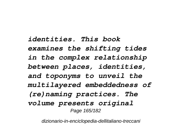*identities. This book examines the shifting tides in the complex relationship between places, identities, and toponyms to unveil the multilayered embeddedness of (re)naming practices. The volume presents original* Page 165/182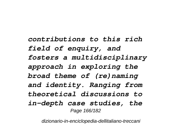*contributions to this rich field of enquiry, and fosters a multidisciplinary approach in exploring the broad theme of (re)naming and identity. Ranging from theoretical discussions to in-depth case studies, the* Page 166/182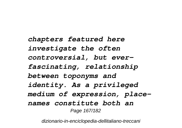*chapters featured here investigate the often controversial, but everfascinating, relationship between toponyms and identity. As a privileged medium of expression, placenames constitute both an* Page 167/182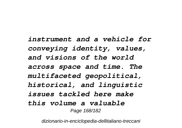*instrument and a vehicle for conveying identity, values, and visions of the world across space and time. The multifaceted geopolitical, historical, and linguistic issues tackled here make this volume a valuable* Page 168/182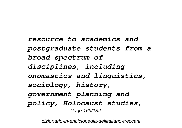*resource to academics and postgraduate students from a broad spectrum of disciplines, including onomastics and linguistics, sociology, history, government planning and policy, Holocaust studies,* Page 169/182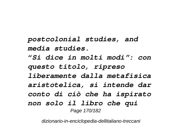*postcolonial studies, and media studies.*

*"Si dice in molti modi": con questo titolo, ripreso liberamente dalla metafisica aristotelica, si intende dar conto di ciò che ha ispirato non solo il libro che qui* Page 170/182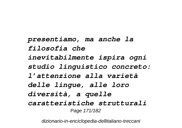*presentiamo, ma anche la filosofia che inevitabilmente ispira ogni studio linguistico concreto: l'attenzione alla varietà delle lingue, alle loro diversità, a quelle caratteristiche strutturali* Page 171/182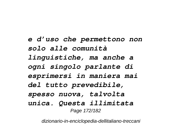*e d'uso che permettono non solo alle comunità linguistiche, ma anche a ogni singolo parlante di esprimersi in maniera mai del tutto prevedibile, spesso nuova, talvolta unica. Questa illimitata* Page 172/182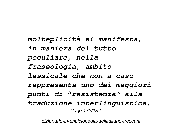*molteplicità si manifesta, in maniera del tutto peculiare, nella fraseologia, ambito lessicale che non a caso rappresenta uno dei maggiori punti di "resistenza" alla traduzione interlinguistica,* Page 173/182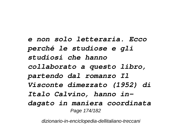*e non solo letteraria. Ecco perché le studiose e gli studiosi che hanno collaborato a questo libro, partendo dal romanzo Il Visconte dimezzato (1952) di Italo Calvino, hanno indagato in maniera coordinata* Page 174/182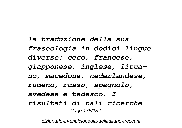*la traduzione della sua fraseologia in dodici lingue diverse: ceco, francese, giapponese, inglese, lituano, macedone, nederlandese, rumeno, russo, spagnolo, svedese e tedesco. I risultati di tali ricerche* Page 175/182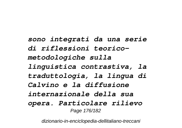*sono integrati da una serie di riflessioni teoricometodologiche sulla linguistica contrastiva, la traduttologia, la lingua di Calvino e la diffusione internazionale della sua opera. Particolare rilievo* Page 176/182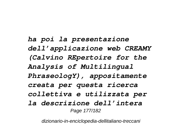*ha poi la presentazione dell'applicazione web CREAMY (Calvino REpertoire for the Analysis of Multilingual PhraseologY), appositamente creata per questa ricerca collettiva e utilizzata per la descrizione dell'intera* Page 177/182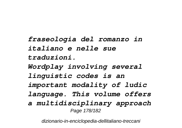*fraseologia del romanzo in italiano e nelle sue traduzioni. Wordplay involving several linguistic codes is an important modality of ludic language. This volume offers a multidisciplinary approach* Page 178/182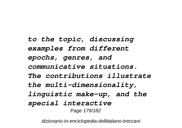*to the topic, discussing examples from different epochs, genres, and communicative situations. The contributions illustrate the multi-dimensionality, linguistic make-up, and the special interactive* Page 179/182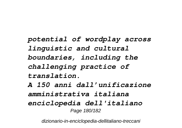*potential of wordplay across linguistic and cultural boundaries, including the challenging practice of translation. A 150 anni dall'unificazione amministrativa italiana enciclopedia dell'italiano* Page 180/182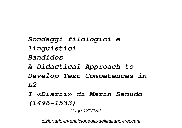*Sondaggi filologici e linguistici Bandidos A Didactical Approach to Develop Text Competences in*

*L2*

*I «Diarii» di Marin Sanudo (1496–1533)*

Page 181/182

dizionario-in-enciclopedia-dellitaliano-treccani